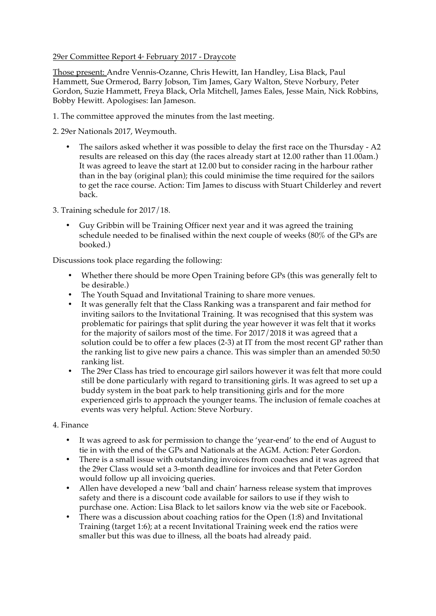## 29er Committee Report 4<sup>th</sup> February 2017 - Draycote

Those present: Andre Vennis-Ozanne, Chris Hewitt, Ian Handley, Lisa Black, Paul Hammett, Sue Ormerod, Barry Jobson, Tim James, Gary Walton, Steve Norbury, Peter Gordon, Suzie Hammett, Freya Black, Orla Mitchell, James Eales, Jesse Main, Nick Robbins, Bobby Hewitt. Apologises: Ian Jameson.

- 1. The committee approved the minutes from the last meeting.
- 2. 29er Nationals 2017, Weymouth.
	- The sailors asked whether it was possible to delay the first race on the Thursday A2 results are released on this day (the races already start at 12.00 rather than 11.00am.) It was agreed to leave the start at 12.00 but to consider racing in the harbour rather than in the bay (original plan); this could minimise the time required for the sailors to get the race course. Action: Tim James to discuss with Stuart Childerley and revert back.
- 3. Training schedule for 2017/18.
	- Guy Gribbin will be Training Officer next year and it was agreed the training schedule needed to be finalised within the next couple of weeks (80% of the GPs are booked.)

Discussions took place regarding the following:

- Whether there should be more Open Training before GPs (this was generally felt to be desirable.)
- The Youth Squad and Invitational Training to share more venues.<br>• It was generally felt that the Class Ranking was a transparent and
- It was generally felt that the Class Ranking was a transparent and fair method for inviting sailors to the Invitational Training. It was recognised that this system was problematic for pairings that split during the year however it was felt that it works for the majority of sailors most of the time. For 2017/2018 it was agreed that a solution could be to offer a few places (2-3) at IT from the most recent GP rather than the ranking list to give new pairs a chance. This was simpler than an amended 50:50 ranking list.
- The 29er Class has tried to encourage girl sailors however it was felt that more could still be done particularly with regard to transitioning girls. It was agreed to set up a buddy system in the boat park to help transitioning girls and for the more experienced girls to approach the younger teams. The inclusion of female coaches at events was very helpful. Action: Steve Norbury.

## 4. Finance

- It was agreed to ask for permission to change the 'year-end' to the end of August to tie in with the end of the GPs and Nationals at the AGM. Action: Peter Gordon.
- There is a small issue with outstanding invoices from coaches and it was agreed that the 29er Class would set a 3-month deadline for invoices and that Peter Gordon would follow up all invoicing queries.
- Allen have developed a new 'ball and chain' harness release system that improves safety and there is a discount code available for sailors to use if they wish to purchase one. Action: Lisa Black to let sailors know via the web site or Facebook.
- There was a discussion about coaching ratios for the Open (1:8) and Invitational Training (target 1:6); at a recent Invitational Training week end the ratios were smaller but this was due to illness, all the boats had already paid.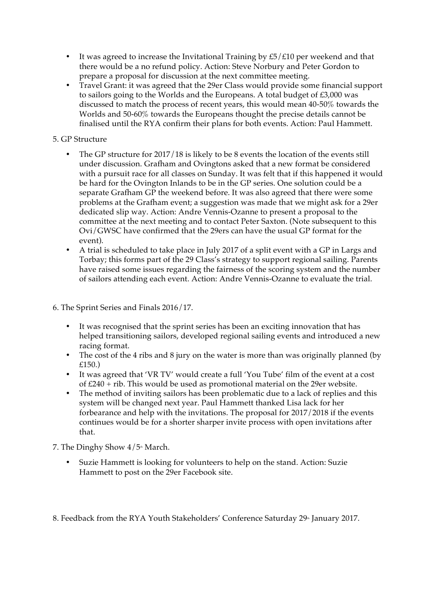- It was agreed to increase the Invitational Training by  $E5/E10$  per weekend and that there would be a no refund policy. Action: Steve Norbury and Peter Gordon to prepare a proposal for discussion at the next committee meeting.
- Travel Grant: it was agreed that the 29er Class would provide some financial support to sailors going to the Worlds and the Europeans. A total budget of £3,000 was discussed to match the process of recent years, this would mean 40-50% towards the Worlds and 50-60% towards the Europeans thought the precise details cannot be finalised until the RYA confirm their plans for both events. Action: Paul Hammett.

## 5. GP Structure

- The GP structure for 2017/18 is likely to be 8 events the location of the events still under discussion. Grafham and Ovingtons asked that a new format be considered with a pursuit race for all classes on Sunday. It was felt that if this happened it would be hard for the Ovington Inlands to be in the GP series. One solution could be a separate Grafham GP the weekend before. It was also agreed that there were some problems at the Grafham event; a suggestion was made that we might ask for a 29er dedicated slip way. Action: Andre Vennis-Ozanne to present a proposal to the committee at the next meeting and to contact Peter Saxton. (Note subsequent to this Ovi/GWSC have confirmed that the 29ers can have the usual GP format for the event).
- A trial is scheduled to take place in July 2017 of a split event with a GP in Largs and Torbay; this forms part of the 29 Class's strategy to support regional sailing. Parents have raised some issues regarding the fairness of the scoring system and the number of sailors attending each event. Action: Andre Vennis-Ozanne to evaluate the trial.
- 6. The Sprint Series and Finals 2016/17.
	- It was recognised that the sprint series has been an exciting innovation that has helped transitioning sailors, developed regional sailing events and introduced a new racing format.
	- The cost of the 4 ribs and 8 jury on the water is more than was originally planned (by £150.)
	- It was agreed that 'VR TV' would create a full 'You Tube' film of the event at a cost of £240 + rib. This would be used as promotional material on the 29er website.
	- The method of inviting sailors has been problematic due to a lack of replies and this system will be changed next year. Paul Hammett thanked Lisa lack for her forbearance and help with the invitations. The proposal for 2017/2018 if the events continues would be for a shorter sharper invite process with open invitations after that.
- 7. The Dinghy Show  $4/5$ <sup>th</sup> March.
	- Suzie Hammett is looking for volunteers to help on the stand. Action: Suzie Hammett to post on the 29er Facebook site.

8. Feedback from the RYA Youth Stakeholders' Conference Saturday 29<sup>th</sup> January 2017.